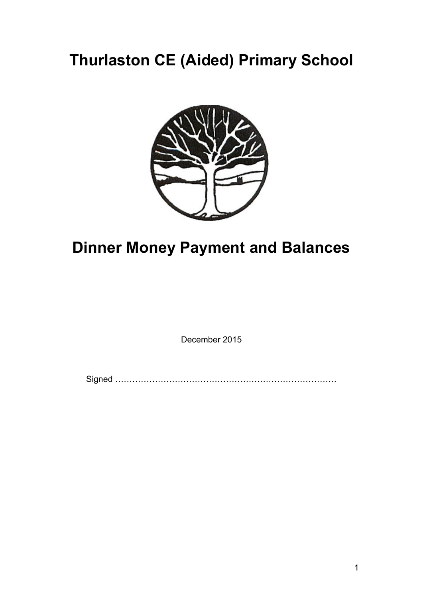## **Thurlaston CE (Aided) Primary School**



## **Dinner Money Payment and Balances**

December 2015

Signed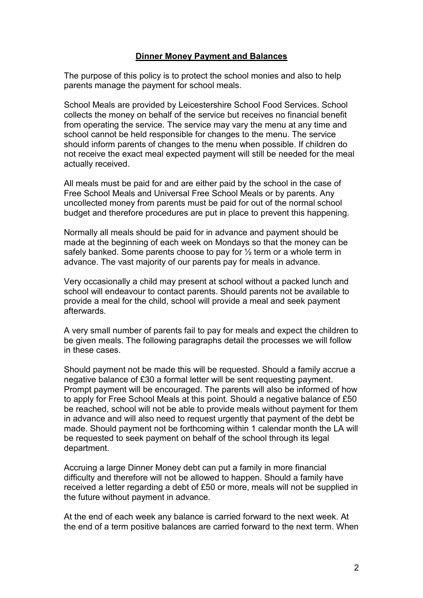## **Dinner Money Payment and Balances**

The purpose of this policy is to protect the school monies and also to help parents manage the payment for school meals.

School Meals are provided by Leicestershire School Food Services. School collects the money on behalf of the service but receives no financial benefit from operating the service. The service may vary the menu at any time and school cannot be held responsible for changes to the menu. The service should inform parents of changes to the menu when possible. If children do not receive the exact meal expected payment will still be needed for the meal actually received.

All meals must be paid for and are either paid by the school in the case of Free School Meals and Universal Free School Meals or by parents. Any uncollected money from parents must be paid for out of the normal school budget and therefore procedures are put in place to prevent this happening.

Normally all meals should be paid for in advance and payment should be made at the beginning of each week on Mondays so that the money can be safely banked. Some parents choose to pay for  $\frac{1}{2}$  term or a whole term in advance. The vast majority of our parents pay for meals in advance.

Very occasionally a child may present at school without a packed lunch and school will endeavour to contact parents. Should parents not be available to provide a meal for the child, school will provide a meal and seek payment afterwards.

A very small number of parents fail to pay for meals and expect the children to be given meals. The following paragraphs detail the processes we will follow in these cases.

Should payment not be made this will be requested. Should a family accrue a negative balance of £30 a formal letter will be sent requesting payment. Prompt payment will be encouraged. The parents will also be informed of how to apply for Free School Meals at this point. Should a negative balance of £50 be reached, school will not be able to provide meals without payment for them in advance and will also need to request urgently that payment of the debt be made. Should payment not be forthcoming within 1 calendar month the LA will be requested to seek payment on behalf of the school through its legal department.

Accruing a large Dinner Money debt can put a family in more financial difficulty and therefore will not be allowed to happen. Should a family have received a letter regarding a debt of £50 or more, meals will not be supplied in the future without payment in advance.

At the end of each week any balance is carried forward to the next week. At the end of a term positive balances are carried forward to the next term. When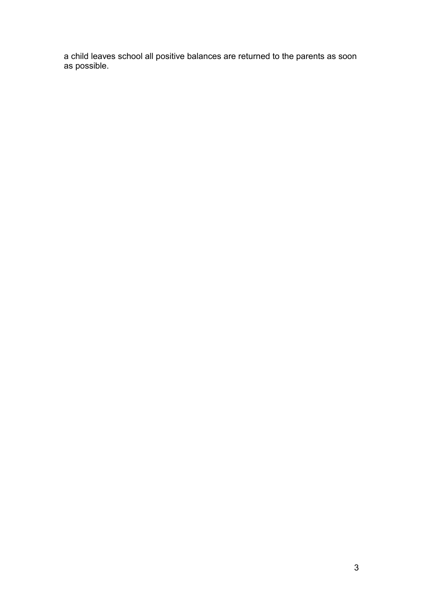a child leaves school all positive balances are returned to the parents as soon as possible.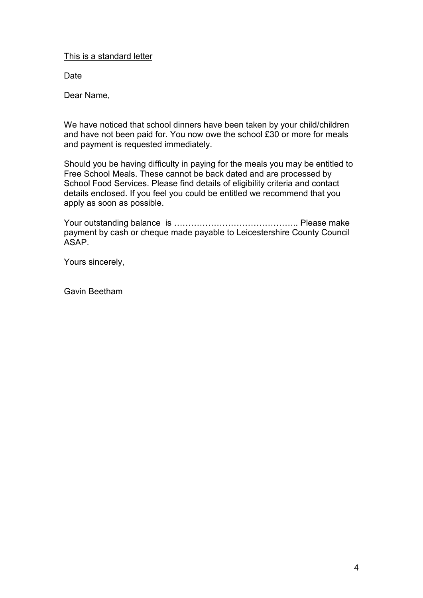This is a standard letter

**Date** 

Dear Name,

We have noticed that school dinners have been taken by your child/children and have not been paid for. You now owe the school £30 or more for meals and payment is requested immediately.

Should you be having difficulty in paying for the meals you may be entitled to Free School Meals. These cannot be back dated and are processed by School Food Services. Please find details of eligibility criteria and contact details enclosed. If you feel you could be entitled we recommend that you apply as soon as possible.

Your outstanding balance is .. Please make payment by cash or cheque made payable to Leicestershire County Council ASAP.

Yours sincerely,

Gavin Beetham